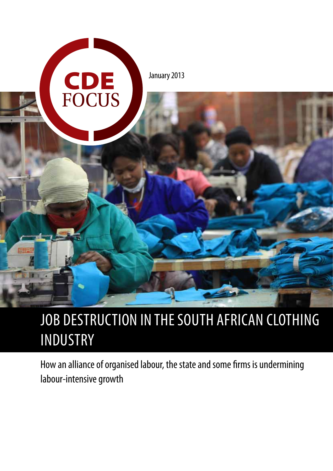

# JOB DESTRUCTION IN THE SOUTH AFRICAN CLOTHING INDUSTRY

How an alliance of organised labour, the state and some firms is undermining labour-intensive growth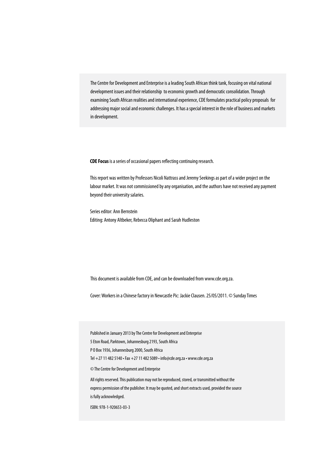The Centre for Development and Enterprise is a leading South African think tank, focusing on vital national development issues and their relationship to economic growth and democratic consolidation. Through examining South African realities and international experience, CDE formulates practical policy proposals for addressing major social and economic challenges. It has a special interest in the role of business and markets in development.

**CDE Focus** is a series of occasional papers reflecting continuing research.

This report was written by Professors Nicoli Nattrass and Jeremy Seekings as part of a wider project on the labour market. It was not commissioned by any organisation, and the authors have not received any payment beyond their university salaries.

Series editor: Ann Bernstein Editing: Antony Altbeker, Rebecca Oliphant and Sarah Hudleston

This document is available from CDE, and can be downloaded from www.cde.org.za.

Cover: Workers in a Chinese factory in Newcastle Pic: Jackie Clausen. 25/05/2011. © Sunday Times

Published in January 2013 by The Centre for Development and Enterprise

5 Eton Road, Parktown, Johannesburg 2193, South Africa

P O Box 1936, Johannesburg 2000, South Africa

Tel +27 11 482 5140 • Fax +27 11 482 5089 • info@cde.org.za • www.cde.org.za

© The Centre for Development and Enterprise

All rights reserved. This publication may not be reproduced, stored, or transmitted without the express permission of the publisher. It may be quoted, and short extracts used, provided the source is fully acknowledged.

ISBN: 978-1-920653-03-3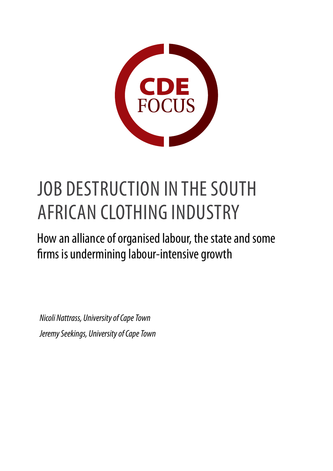

# JOB DESTRUCTION IN THE SOUTH AFRICAN CLOTHING INDUSTRY

How an alliance of organised labour, the state and some firms is undermining labour-intensive growth

*Nicoli Nattrass, University of Cape Town Jeremy Seekings, University of Cape Town*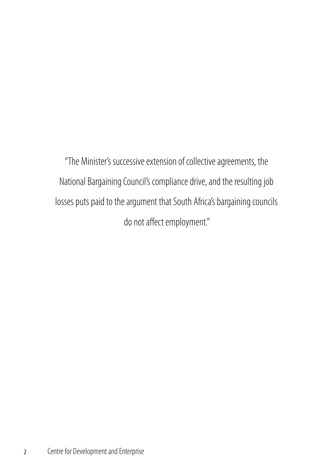"The Minister's successive extension of collective agreements, the National Bargaining Council's compliance drive, and the resulting job losses puts paid to the argument that South Africa's bargaining councils do not affect employment."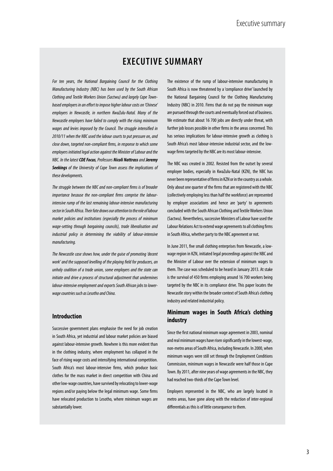## **EXECUTIVE SUMMARY**

*For ten years, the National Bargaining Council for the Clothing Manufacturing Industry (NBC) has been used by the South African Clothing and Textile Workers Union (Sactwu) and largely Cape Townbased employers in an effort to impose higher labour costs on 'Chinese' employers in Newcastle, in northern KwaZulu-Natal. Many of the Newcastle employers have failed to comply with the rising minimum wages and levies imposed by the Council. The struggle intensified in 2010/11 when the NBC used the labour courts to put pressure on, and close down, targeted non-compliant firms, in response to which some employers initiated legal action against the Minister of Labour and the NBC. In the latest CDE Focus, Professors Nicoli Nattrass and Jeremy Seekings of the University of Cape Town assess the implications of these developments.*

*The struggle between the NBC and non-compliant firms is of broader importance because the non-compliant firms comprise the labourintensive rump of the last remaining labour-intensive manufacturing sector in South Africa. Their fate draws our attention to the role of labour market policies and institutions (especially the process of minimum wage-setting through bargaining councils), trade liberalisation and industrial policy in determining the viability of labour-intensive manufacturing.* 

*The Newcastle case shows how, under the guise of promoting 'decent work' and the supposed levelling of the playing field for producers, an unholy coalition of a trade union, some employers and the state can initiate and drive a process of structural adjustment that undermines labour-intensive employment and exports South African jobs to lowerwage countries such as Lesotho and China.*

#### **Introduction**

Successive government plans emphasise the need for job creation in South Africa, yet industrial and labour market policies are biased against labour-intensive growth. Nowhere is this more evident than in the clothing industry, where employment has collapsed in the face of rising wage costs and intensifying international competition. South Africa's most labour-intensive firms, which produce basic clothes for the mass market in direct competition with China and other low-wage countries, have survived by relocating to lower-wage regions and/or paying below the legal minimum wage. Some firms have relocated production to Lesotho, where minimum wages are substantially lower.

The existence of the rump of labour-intensive manufacturing in South Africa is now threatened by a 'compliance drive' launched by the National Bargaining Council for the Clothing Manufacturing Industry (NBC) in 2010. Firms that do not pay the minimum wage are pursued through the courts and eventually forced out of business. We estimate that about 16 700 jobs are directly under threat, with further job losses possible in other firms in the areas concerned. This has serious implications for labour-intensive growth as clothing is South Africa's most labour-intensive industrial sector, and the lowwage firms targeted by the NBC are its most labour-intensive.

The NBC was created in 2002. Resisted from the outset by several employer bodies, especially in KwaZulu-Natal (KZN), the NBC has never been representative of firms in KZN or in the country as a whole. Only about one quarter of the firms that are registered with the NBC (collectively employing less than half the workforce) are represented by employer associations and hence are 'party' to agreements concluded with the South African Clothing and Textile Workers Union (Sactwu). Nevertheless, successive Ministers of Labour have used the Labour Relations Act to extend wage agreements to all clothing firms in South Africa, whether party to the NBC agreement or not.

In June 2011, five small clothing enterprises from Newcastle, a lowwage region in KZN, initiated legal proceedings against the NBC and the Minister of Labour over the extension of minimum wages to them. The case was scheduled to be heard in January 2013. At stake is the survival of 450 firms employing around 16 700 workers being targeted by the NBC in its compliance drive. This paper locates the Newcastle story within the broader context of South Africa's clothing industry and related industrial policy.

#### **Minimum wages in South Africa's clothing industry**

Since the first national minimum wage agreement in 2003, nominal and real minimum wages have risen significantly in the lowest-wage, non-metro areas of South Africa, including Newcastle. In 2000, when minimum wages were still set through the Employment Conditions Commission, minimum wages in Newcastle were half those in Cape Town. By 2011, after nine years of wage agreements in the NBC, they had reached two-thirds of the Cape Town level.

Employers represented in the NBC, who are largely located in metro areas, have gone along with the reduction of inter-regional differentials as this is of little consequence to them.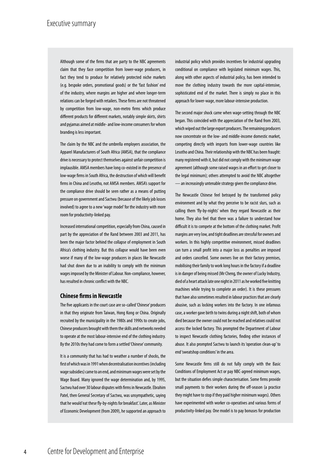Although some of the firms that are party to the NBC agreements claim that they face competition from lower-wage producers, in fact they tend to produce for relatively protected niche markets (e.g. bespoke orders, promotional goods) or the 'fast fashion' end of the industry, where margins are higher and where longer-term relations can be forged with retailers. These firms are not threatened by competition from low-wage, non-metro firms which produce different products for different markets, notably simple skirts, shirts and pyjamas aimed at middle- and low-income consumers for whom branding is less important.

The claim by the NBC and the umbrella employers association, the Apparel Manufacturers of South Africa (AMSA), that the compliance drive is necessary to protect themselves against unfair competition is implausible. AMSA members have long co-existed in the presence of low-wage firms in South Africa, the destruction of which will benefit firms in China and Lesotho, not AMSA members. AMSA's support for the compliance drive should be seen rather as a means of putting pressure on government and Sactwu (because of the likely job losses involved) to agree to a new 'wage model' for the industry with more room for productivity-linked pay.

Increased international competition, especially from China, caused in part by the appreciation of the Rand between 2003 and 2011, has been the major factor behind the collapse of employment in South Africa's clothing industry. But this collapse would have been even worse if many of the low-wage producers in places like Newcastle had shut down due to an inability to comply with the minimum wages imposed by the Minister of Labour. Non-compliance, however, has resulted in chronic conflict with the NBC.

#### **Chinese firms in Newcastle**

The five applicants in the court case are so-called 'Chinese' producers in that they originate from Taiwan, Hong Kong or China. Originally recruited by the municipality in the 1980s and 1990s to create jobs, Chinese producers brought with them the skills and networks needed to operate at the most labour-intensive end of the clothing industry. By the 2010s they had come to form a settled 'Chinese' community.

It is a community that has had to weather a number of shocks, the first of which was in 1991 when decentralisation incentives (including wage subsidies) came to an end, and minimum wages were set by the Wage Board. Many ignored the wage determination and, by 1995, Sactwu had over 30 labour disputes with firms in Newcastle. Ebrahim Patel, then General Secretary of Sactwu, was unsympathetic, saying that he would 'eat these fly-by-nights for breakfast'. Later, as Minister of Economic Development (from 2009), he supported an approach to

industrial policy which provides incentives for industrial upgrading conditional on compliance with legislated minimum wages. This, along with other aspects of industrial policy, has been intended to move the clothing industry towards the more capital-intensive, sophisticated end of the market. There is simply no place in this approach for lower-wage, more labour-intensive production.

The second major shock came when wage-setting through the NBC began. This coincided with the appreciation of the Rand from 2003, which wiped out the large export producers. The remaining producers now concentrate on the low- and middle-income domestic market, competing directly with imports from lower-wage countries like Lesotho and China. Their relationship with the NBC has been fraught: many registered with it, but did not comply with the minimum wage agreement (although some raised wages in an effort to get closer to the legal minimum); others attempted to avoid the NBC altogether —an increasingly untenable strategy given the compliance drive.

The Newcastle Chinese feel betrayed by the transformed policy environment and by what they perceive to be racist slurs, such as calling them 'fly-by-nights' when they regard Newcastle as their home. They also feel that there was a failure to understand how difficult it is to compete at the bottom of the clothing market. Profit margins are very low, and tight deadlines are stressful for owners and workers. In this highly competitive environment, missed deadlines can turn a small profit into a major loss as penalties are imposed and orders cancelled. Some owners live on their factory premises, mobilising their family to work long hours in the factory if a deadline is in danger of being missed (Mr Cheng, the owner of Lucky Industry, died of a heart attack late one night in 2011 as he worked five knitting machines while trying to complete an order). It is these pressures that have also sometimes resulted in labour practices that are clearly abusive, such as locking workers into the factory. In one infamous case, a worker gave birth to twins during a night shift, both of whom died because the owner could not be reached and relatives could not access the locked factory. This prompted the Department of Labour to inspect Newcastle clothing factories, finding other instances of abuse. It also prompted Sactwu to launch its 'operation clean-up' to end 'sweatshop conditions' in the area.

Some Newcastle firms still do not fully comply with the Basic Conditions of Employment Act or pay NBC-agreed minimum wages, but the situation defies simple characterisation. Some firms provide small payments to their workers during the off-season (a practice they might have to stop if they paid higher minimum wages). Others have experimented with worker co-operatives and various forms of productivity-linked pay. One model is to pay bonuses for production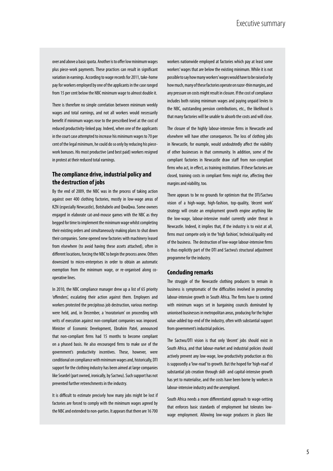over and above a basic quota. Another is to offer low minimum wages plus piece-work payments. These practices can result in significant variation in earnings. According to wage records for 2011, take-home pay for workers employed by one of the applicants in the case ranged from 15 per cent below the NBC minimum wage to almost double it.

There is therefore no simple correlation between minimum weekly wages and total earnings, and not all workers would necessarily benefit if minimum wages rose to the prescribed level at the cost of reduced productivity-linked pay. Indeed, when one of the applicants in the court case attempted to increase his minimum wages to 70 per cent of the legal minimum, he could do so only by reducing his piecework bonuses. His most productive (and best paid) workers resigned in protest at their reduced total earnings.

#### **The compliance drive, industrial policy and the destruction of jobs**

By the end of 2009, the NBC was in the process of taking action against over 400 clothing factories, mostly in low-wage areas of KZN (especially Newcastle), Botshabelo and QwaQwa. Some owners engaged in elaborate cat-and-mouse games with the NBC as they begged for time to implement the minimum wage whilst completing their existing orders and simultaneously making plans to shut down their companies. Some opened new factories with machinery leased from elsewhere (to avoid having these assets attached), often in different locations, forcing the NBC to begin the process anew. Others downsized to micro-enterprises in order to obtain an automatic exemption from the minimum wage, or re-organised along cooperative lines.

In 2010, the NBC compliance manager drew up a list of 65 priority 'offenders', escalating their action against them. Employers and workers protested the precipitous job destruction, various meetings were held, and, in December, a 'moratorium' on proceeding with writs of execution against non-compliant companies was imposed. Minister of Economic Development, Ebrahim Patel, announced that non-compliant firms had 15 months to become compliant on a phased basis. He also encouraged firms to make use of the government's productivity incentives. These, however, were conditional on compliance with minimum wages and, historically, DTI support for the clothing industry has been aimed at large companies like Seardel (part owned, ironically, by Sactwu). Such support has not prevented further retrenchments in the industry.

It is difficult to estimate precisely how many jobs might be lost if factories are forced to comply with the minimum wages agreed by the NBC and extended to non-parties. It appears that there are 16 700

workers nationwide employed at factories which pay at least some workers' wages that are below the existing minimum. While it is not possible to say how many workers' wages would have to be raised or by how much, many of these factories operate on razor-thin margins, and any pressure on costs might result in closure. If the cost of compliance includes both raising minimum wages and paying unpaid levies to the NBC, outstanding pension contributions, etc., the likelihood is that many factories will be unable to absorb the costs and will close.

The closure of the highly labour-intensive firms in Newcastle and elsewhere will have other consequences. The loss of clothing jobs in Newcastle, for example, would undoubtedly affect the viability of other businesses in that community. In addition, some of the compliant factories in Newcastle draw staff from non-compliant firms who act, in effect, as training institutions. If these factories are closed, training costs in compliant firms might rise, affecting their margins and viability, too.

There appears to be no grounds for optimism that the DTI/Sactwu vision of a high-wage, high-fashion, top-quality, 'decent work' strategy will create an employment growth engine anything like the low-wage, labour-intensive model currently under threat in Newcastle. Indeed, it implies that, if the industry is to exist at all, firms must compete only in the 'high fashion', technical/quality end of the business. The destruction of low-wage labour-intensive firms is thus explicitly part of the DTI and Sactwu's structural adjustment programme for the industry.

#### **Concluding remarks**

The struggle of the Newcastle clothing producers to remain in business is symptomatic of the difficulties involved in promoting labour-intensive growth in South Africa. The firms have to contend with minimum wages set in bargaining councils dominated by unionised businesses in metropolitan areas, producing for the higher value-added top-end of the industry, often with substantial support from government's industrial policies.

The Sactwu/DTI vision is that only 'decent' jobs should exist in South Africa, and that labour-market and industrial policies should actively prevent any low-wage, low-productivity production as this is supposedly a 'low-road' to growth. But the hoped for 'high-road' of substantial job creation through skill- and capital-intensive growth has yet to materialise, and the costs have been borne by workers in labour-intensive industry and the unemployed.

South Africa needs a more differentiated approach to wage-setting that enforces basic standards of employment but tolerates lowwage employment. Allowing low-wage producers in places like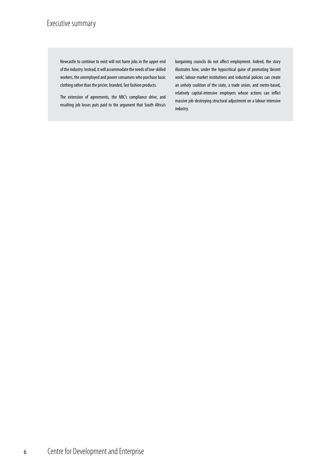## Executive summary

Newcastle to continue to exist will not harm jobs in the upper-end of the industry. Instead, it will accommodate the needs of low-skilled workers, the unemployed and poorer consumers who purchase basic clothing rather than the pricier, branded, fast fashion products.

The extension of agreements, the NBC's compliance drive, and resulting job losses puts paid to the argument that South Africa's bargaining councils do not affect employment. Indeed, the story illustrates how, under the hypocritical guise of promoting 'decent work', labour-market institutions and industrial policies can create an unholy coalition of the state, a trade union, and metro-based, relatively capital-intensive employers whose actions can inflict massive job-destroying structural adjustment on a labour-intensive industry.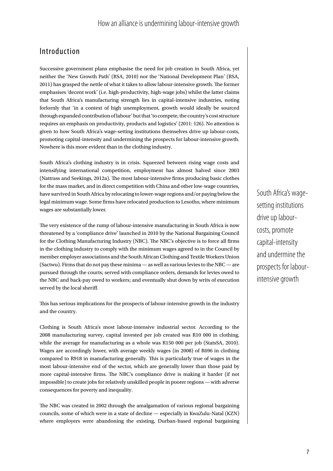### Introduction

Successive government plans emphasise the need for job creation in South Africa, yet neither the 'New Growth Path' (RSA, 2010) nor the 'National Development Plan' (RSA, 2011) has grasped the nettle of what it takes to allow labour-intensive growth. The former emphasises 'decent work' (i.e. high-productivity, high-wage jobs) whilst the latter claims that South Africa's manufacturing strength lies in capital-intensive industries, noting forlornly that 'in a context of high unemployment, growth would ideally be sourced through expanded contribution of labour' but that 'to compete, the country's cost structure requires an emphasis on productivity, products and logistics' (2011: 126). No attention is given to how South Africa's wage-setting institutions themselves drive up labour-costs, promoting capital-intensity and undermining the prospects for labour-intensive growth. Nowhere is this more evident than in the clothing industry.

South Africa's clothing industry is in crisis. Squeezed between rising wage costs and intensifying international competition, employment has almost halved since 2003 (Nattrass and Seekings, 2012a). The most labour-intensive firms producing basic clothes for the mass market, and in direct competition with China and other low-wage countries, have survived in South Africa by relocating to lower-wage regions and/or paying below the legal minimum wage. Some firms have relocated production to Lesotho, where minimum wages are substantially lower.

The very existence of the rump of labour-intensive manufacturing in South Africa is now threatened by a 'compliance drive' launched in 2010 by the National Bargaining Council for the Clothing Manufacturing Industry (NBC). The NBC's objective is to force all firms in the clothing industry to comply with the minimum wages agreed to in the Council by member employer associations and the South African Clothing and Textile Workers Union (Sactwu). Firms that do not pay these minima — as well as various levies to the NBC — are pursued through the courts; served with compliance orders, demands for levies owed to the NBC and back-pay owed to workers; and eventually shut down by writs of execution served by the local sheriff.

This has serious implications for the prospects of labour-intensive growth in the industry and the country.

Clothing is South Africa's most labour-intensive industrial sector. According to the 2008 manufacturing survey, capital invested per job created was R10 000 in clothing, while the average for manufacturing as a whole was R150 000 per job (StatsSA, 2010). Wages are accordingly lower, with average weekly wages (in 2008) of R696 in clothing compared to R918 in manufacturing generally. This is particularly true of wages in the most labour-intensive end of the sector, which are generally lower than those paid by more capital-intensive firms. The NBC's compliance drive is making it harder (if not impossible) to create jobs for relatively unskilled people in poorer regions — with adverse consequences for poverty and inequality.

The NBC was created in 2002 through the amalgamation of various regional bargaining councils, some of which were in a state of decline — especially in KwaZulu-Natal (KZN) where employers were abandoning the existing, Durban-based regional bargaining South Africa's wagesetting institutions drive up labourcosts, promote capital-intensity and undermine the prospects for labourintensive growth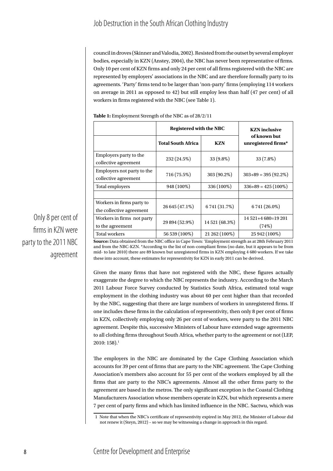council in droves (Skinner and Valodia, 2002). Resisted from the outset by several employer bodies, especially in KZN (Anstey, 2004), the NBC has never been representative of firms. Only 10 per cent of KZN firms and only 24 per cent of all firms registered with the NBC are represented by employers' associations in the NBC and are therefore formally party to its agreements. 'Party' firms tend to be larger than 'non-party' firms (employing 114 workers on average in 2011 as opposed to 42) but still employ less than half (47 per cent) of all workers in firms registered with the NBC (see Table 1).

|                                                       | <b>Registered with the NBC</b> |                | <b>KZN</b> inclusive                |
|-------------------------------------------------------|--------------------------------|----------------|-------------------------------------|
|                                                       | <b>Total South Africa</b>      | <b>KZN</b>     | of known but<br>unregistered firms* |
| Employers party to the<br>collective agreement        | 232 (24.5%)                    | 33 (9.8%)      | 33 (7.8%)                           |
| Employers not party to the<br>collective agreement    | 716 (75.5%)                    | 303 (90.2%)    | $303+89=395(92.2\%)$                |
| Total employers                                       | 948 (100%)                     | 336 (100%)     | $336+89 = 425(100\%)$               |
|                                                       |                                |                |                                     |
| Workers in firms party to<br>the collective agreement | 26 645 (47.1%)                 | 6741 (31.7%)   | 6741 (26.0%)                        |
| Workers in firms not party                            | 29 894 (52.9%)                 | 14 521 (68.3%) | $14521+4680=19201$                  |
| to the agreement                                      |                                |                | (74%)                               |
| <b>Total workers</b>                                  | 56 539 (100%)                  | 21 262 (100%)  | 25 942 (100%)                       |

**Table 1:** Employment Strength of the NBC as of 28/2/11

**Source:** Data obtained from the NBC office in Cape Town: 'Employment strength as at 28th February 2011 and from the NBC-KZN. \*According to the list of non-compliant firms (no date, but it appears to be from mid- to late 2010) there are 89 known but unregistered firms in KZN employing 4 680 workers. If we take these into account, these estimates for representivity for KZN in early 2011 can be derived.

Given the many firms that have not registered with the NBC, these figures actually exaggerate the degree to which the NBC represents the industry. According to the March 2011 Labour Force Survey conducted by Statistics South Africa, estimated total wage employment in the clothing industry was about 60 per cent higher than that recorded by the NBC, suggesting that there are large numbers of workers in unregistered firms. If one includes these firms in the calculation of representivity, then only 8 per cent of firms in KZN, collectively employing only 26 per cent of workers, were party to the 2011 NBC agreement. Despite this, successive Ministers of Labour have extended wage agreements to all clothing firms throughout South Africa, whether party to the agreement or not (LEP,  $2010:158$ ). $^1$ 

The employers in the NBC are dominated by the Cape Clothing Association which accounts for 39 per cent of firms that are party to the NBC agreement. The Cape Clothing Association's members also account for 55 per cent of the workers employed by all the firms that are party to the NBC's agreements. Almost all the other firms party to the agreement are based in the metros. The only significant exception is the Coastal Clothing Manufacturers Association whose members operate in KZN, but which represents a mere 7 per cent of party firms and which has limited influence in the NBC. Sactwu, which was

Only 8 per cent of firms in KZN were party to the 2011 NBC agreement

<sup>1</sup> Note that when the NBC's certificate of representivity expired in May 2012, the Minister of Labour did not renew it (Steyn, 2012) – so we may be witnessing a change in approach in this regard.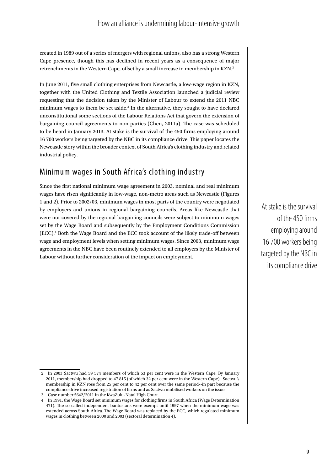created in 1989 out of a series of mergers with regional unions, also has a strong Western Cape presence, though this has declined in recent years as a consequence of major retrenchments in the Western Cape, offset by a small increase in membership in KZN.<sup>2</sup>

In June 2011, five small clothing enterprises from Newcastle, a low-wage region in KZN, together with the United Clothing and Textile Association launched a judicial review requesting that the decision taken by the Minister of Labour to extend the 2011 NBC minimum wages to them be set aside.<sup>3</sup> In the alternative, they sought to have declared unconstitutional some sections of the Labour Relations Act that govern the extension of bargaining council agreements to non-parties (Chen, 2011a). The case was scheduled to be heard in January 2013. At stake is the survival of the 450 firms employing around 16 700 workers being targeted by the NBC in its compliance drive. This paper locates the Newcastle story within the broader context of South Africa's clothing industry and related industrial policy.

### Minimum wages in South Africa's clothing industry

Since the first national minimum wage agreement in 2003, nominal and real minimum wages have risen significantly in low-wage, non-metro areas such as Newcastle (Figures 1 and 2). Prior to 2002/03, minimum wages in most parts of the country were negotiated by employers and unions in regional bargaining councils. Areas like Newcastle that were not covered by the regional bargaining councils were subject to minimum wages set by the Wage Board and subsequently by the Employment Conditions Commission (ECC).4 Both the Wage Board and the ECC took account of the likely trade-off between wage and employment levels when setting minimum wages. Since 2003, minimum wage agreements in the NBC have been routinely extended to all employers by the Minister of Labour without further consideration of the impact on employment.

At stake is the survival of the 450 firms employing around 16 700 workers being targeted by the NBC in its compliance drive

<sup>2</sup> In 2003 Sactwu had 59 574 members of which 53 per cent were in the Western Cape. By January 2011, membership had dropped to 47 815 (of which 32 per cent were in the Western Cape). Sactwu's membership in KZN rose from 25 per cent to 42 per cent over the same period--in part because the compliance drive increased registration of firms and as Sactwu mobilised workers on the issue

<sup>3</sup> Case number 5642/2011 in the KwaZulu-Natal High Court.

<sup>4</sup> In 1991, the Wage Board set minimum wages for clothing firms in South Africa (Wage Determination 471). The so-called independent bantustans were exempt until 1997 when the minimum wage was extended across South Africa. The Wage Board was replaced by the ECC, which regulated minimum wages in clothing between 2000 and 2003 (sectoral determination 4).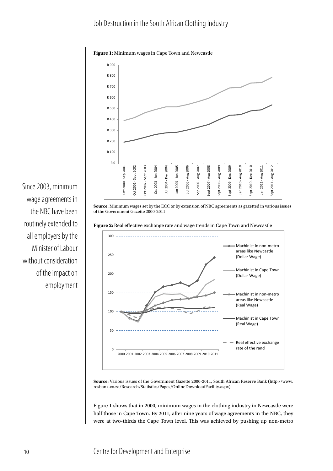#### Job Destruction in the South African Clothing Industry



**Figure 1:** Minimum wages in Cape Town and Newcastle

**Source:** Minimum wages set by the ECC or by extension of NBC agreements as gazetted in various issues of the Government Gazette 2000-2011

**Figure 2:** Real effective exchange rate and wage trends in Cape Town and Newcastle



**Source:** Various issues of the Government Gazette 2000-2011, South African Reserve Bank (http://www. resbank.co.za/Research/Statistics/Pages/OnlineDownloadFacility.aspx)

Figure 1 shows that in 2000, minimum wages in the clothing industry in Newcastle were half those in Cape Town. By 2011, after nine years of wage agreements in the NBC, they were at two-thirds the Cape Town level. This was achieved by pushing up non-metro

Since 2003, minimum wage agreements in the NBC have been routinely extended to all employers by the Minister of Labour without consideration of the impact on employment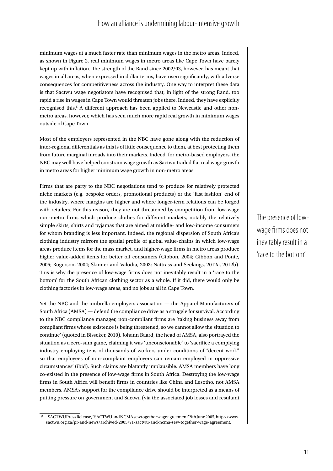minimum wages at a much faster rate than minimum wages in the metro areas. Indeed, as shown in Figure 2, real minimum wages in metro areas like Cape Town have barely kept up with inflation. The strength of the Rand since 2002/03, however, has meant that wages in all areas, when expressed in dollar terms, have risen significantly, with adverse consequences for competitiveness across the industry. One way to interpret these data is that Sactwu wage negotiators have recognised that, in light of the strong Rand, too rapid a rise in wages in Cape Town would threaten jobs there. Indeed, they have explicitly recognised this.<sup>5</sup> A different approach has been applied to Newcastle and other nonmetro areas, however, which has seen much more rapid real growth in minimum wages outside of Cape Town.

Most of the employers represented in the NBC have gone along with the reduction of inter-regional differentials as this is of little consequence to them, at best protecting them from future marginal inroads into their markets. Indeed, for metro-based employers, the NBC may well have helped constrain wage growth as Sactwu traded flat real wage growth in metro areas for higher minimum wage growth in non-metro areas.

Firms that are party to the NBC negotiations tend to produce for relatively protected niche markets (e.g. bespoke orders, promotional products) or the 'fast fashion' end of the industry, where margins are higher and where longer-term relations can be forged with retailers. For this reason, they are not threatened by competition from low-wage non-metro firms which produce clothes for different markets, notably the relatively simple skirts, shirts and pyjamas that are aimed at middle- and low-income consumers for whom branding is less important. Indeed, the regional dispersion of South Africa's clothing industry mirrors the spatial profile of global value-chains in which low-wage areas produce items for the mass market, and higher-wage firms in metro areas produce higher value-added items for better off consumers (Gibbon, 2004; Gibbon and Ponte, 2005; Rogerson, 2004; Skinner and Valodia, 2002; Nattrass and Seekings, 2012a, 2012b). This is why the presence of low-wage firms does not inevitably result in a 'race to the bottom' for the South African clothing sector as a whole. If it did, there would only be clothing factories in low-wage areas, and no jobs at all in Cape Town.

Yet the NBC and the umbrella employers association — the Apparel Manufacturers of South Africa (AMSA) — defend the compliance drive as a struggle for survival. According to the NBC compliance manager, non-compliant firms are 'taking business away from compliant firms whose existence is being threatened, so we cannot allow the situation to continue' (quoted in Bisseker, 2010). Johann Baard, the head of AMSA, also portrayed the situation as a zero-sum game, claiming it was 'unconscionable' to 'sacrifice a complying industry employing tens of thousands of workers under conditions of "decent work" so that employees of non-complaint employers can remain employed in oppressive circumstances' (ibid). Such claims are blatantly implausible. AMSA members have long co-existed in the presence of low-wage firms in South Africa. Destroying the low-wage firms in South Africa will benefit firms in countries like China and Lesotho, not AMSA members. AMSA's support for the compliance drive should be interpreted as a means of putting pressure on government and Sactwu (via the associated job losses and resultant The presence of lowwage firms does not inevitably result in a 'race to the bottom'

<sup>5</sup> SACTWU Press Release, "SACTWU and NCMA sew together wage agreement". 9th June 2005; http://www. sactwu.org.za/pr-and-news/archived-2005/71-sactwu-and-ncma-sew-together-wage-agreement.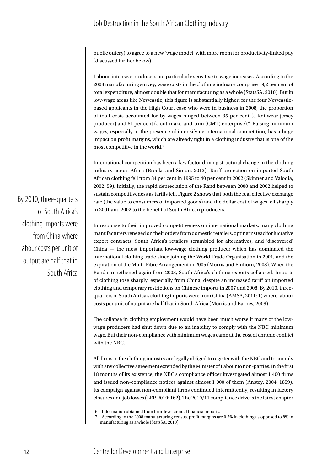public outcry) to agree to a new 'wage model' with more room for productivity-linked pay (discussed further below).

Labour-intensive producers are particularly sensitive to wage increases. According to the 2008 manufacturing survey, wage costs in the clothing industry comprise 19,2 per cent of total expenditure, almost double that for manufacturing as a whole (StatsSA, 2010). But in low-wage areas like Newcastle, this figure is substantially higher: for the four Newcastlebased applicants in the High Court case who were in business in 2008, the proportion of total costs accounted for by wages ranged between 35 per cent (a knitwear jersey producer) and 61 per cent (a cut-make-and-trim (CMT) enterprise).<sup>6</sup> Raising minimum wages, especially in the presence of intensifying international competition, has a huge impact on profit margins, which are already tight in a clothing industry that is one of the most competitive in the world.<sup>7</sup>

International competition has been a key factor driving structural change in the clothing industry across Africa (Brooks and Simon, 2012). Tariff protection on imported South African clothing fell from 84 per cent in 1995 to 40 per cent in 2002 (Skinner and Valodia, 2002: 59). Initially, the rapid depreciation of the Rand between 2000 and 2002 helped to sustain competitiveness as tariffs fell. Figure 2 shows that both the real effective exchange rate (the value to consumers of imported goods) and the dollar cost of wages fell sharply in 2001 and 2002 to the benefit of South African producers.

In response to their improved competitiveness on international markets, many clothing manufacturers reneged on their orders from domestic retailers, opting instead for lucrative export contracts. South Africa's retailers scrambled for alternatives, and 'discovered' China — the most important low-wage clothing producer which has dominated the international clothing trade since joining the World Trade Organisation in 2001, and the expiration of the Multi-Fibre Arrangement in 2005 (Morris and Einhorn, 2008). When the Rand strengthened again from 2003, South Africa's clothing exports collapsed. Imports of clothing rose sharply, especially from China, despite an increased tariff on imported clothing and temporary restrictions on Chinese imports in 2007 and 2008. By 2010, threequarters of South Africa's clothing imports were from China (AMSA, 2011: 1) where labour costs per unit of output are half that in South Africa (Morris and Barnes, 2009).

The collapse in clothing employment would have been much worse if many of the lowwage producers had shut down due to an inability to comply with the NBC minimum wage. But their non-compliance with minimum wages came at the cost of chronic conflict with the NBC.

All firms in the clothing industry are legally obliged to register with the NBC and to comply with any collective agreement extended by the Minister of Labour to non-parties. In the first 18 months of its existence, the NBC's compliance officer investigated almost 1 400 firms and issued non-compliance notices against almost 1 000 of them (Anstey, 2004: 1859). Its campaign against non-compliant firms continued intermittently, resulting in factory closures and job losses (LEP, 2010: 162). The 2010/11 compliance drive is the latest chapter

By 2010, three-quarters of South Africa's clothing imports were from China where labour costs per unit of output are half that in South Africa

<sup>6</sup> Information obtained from firm-level annual financial reports.

<sup>7</sup> According to the 2008 manufacturing census, profit margins are 0.5% in clothing as opposed to 8% in manufacturing as a whole (StatsSA, 2010).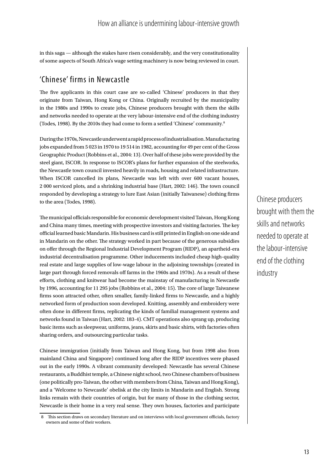in this saga — although the stakes have risen considerably, and the very constitutionality of some aspects of South Africa's wage setting machinery is now being reviewed in court.

## 'Chinese' firms in Newcastle

The five applicants in this court case are so-called 'Chinese' producers in that they originate from Taiwan, Hong Kong or China. Originally recruited by the municipality in the 1980s and 1990s to create jobs, Chinese producers brought with them the skills and networks needed to operate at the very labour-intensive end of the clothing industry (Todes, 1998). By the 2010s they had come to form a settled 'Chinese' community.<sup>8</sup>

During the 1970s, Newcastle underwent a rapid process of industrialisation. Manufacturing jobs expanded from 5 023 in 1970 to 19 514 in 1982, accounting for 49 per cent of the Gross Geographic Product (Robbins et al., 2004: 13). Over half of these jobs were provided by the steel giant, ISCOR. In response to ISCOR's plans for further expansion of the steelworks, the Newcastle town council invested heavily in roads, housing and related infrastructure. When ISCOR cancelled its plans, Newcastle was left with over 600 vacant houses, 2 000 serviced plots, and a shrinking industrial base (Hart, 2002: 146). The town council responded by developing a strategy to lure East Asian (initially Taiwanese) clothing firms to the area (Todes, 1998).

The municipal officials responsible for economic development visited Taiwan, Hong Kong and China many times, meeting with prospective investors and visiting factories. The key official learned basic Mandarin. His business card is still printed in English on one side and in Mandarin on the other. The strategy worked in part because of the generous subsidies on offer through the Regional Industrial Development Program (RIDP), an apartheid-era industrial decentralisation programme. Other inducements included cheap high-quality real estate and large supplies of low-wage labour in the adjoining townships (created in large part through forced removals off farms in the 1960s and 1970s). As a result of these efforts, clothing and knitwear had become the mainstay of manufacturing in Newcastle by 1996, accounting for 11 295 jobs (Robbins et al., 2004: 15). The core of large Taiwanese firms soon attracted other, often smaller, family-linked firms to Newcastle, and a highly networked form of production soon developed. Knitting, assembly and embroidery were often done in different firms, replicating the kinds of familial management systems and networks found in Taiwan (Hart, 2002: 183-4). CMT operations also sprang up, producing basic items such as sleepwear, uniforms, jeans, skirts and basic shirts, with factories often sharing orders, and outsourcing particular tasks.

Chinese immigration (initially from Taiwan and Hong Kong, but from 1998 also from mainland China and Singapore) continued long after the RIDP incentives were phased out in the early 1990s. A vibrant community developed: Newcastle has several Chinese restaurants, a Buddhist temple, a Chinese night school, two Chinese chambers of business (one politically pro-Taiwan, the other with members from China, Taiwan and Hong Kong), and a 'Welcome to Newcastle' obelisk at the city limits in Mandarin and English. Strong links remain with their countries of origin, but for many of those in the clothing sector, Newcastle is their home in a very real sense. They own houses, factories and participate

Chinese producers brought with them the skills and networks needed to operate at the labour-intensive end of the clothing industry

<sup>8</sup> This section draws on secondary literature and on interviews with local government officials, factory owners and some of their workers.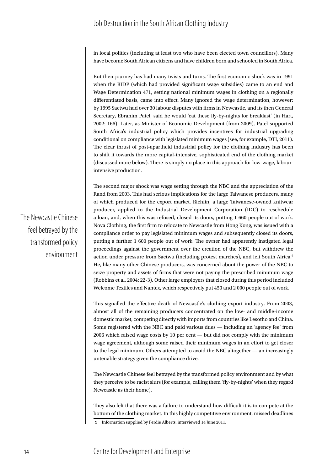in local politics (including at least two who have been elected town councillors). Many have become South African citizens and have children born and schooled in South Africa.

But their journey has had many twists and turns. The first economic shock was in 1991 when the RIDP (which had provided significant wage subsidies) came to an end and Wage Determination 471, setting national minimum wages in clothing on a regionally differentiated basis, came into effect. Many ignored the wage determination, however: by 1995 Sactwu had over 30 labour disputes with firms in Newcastle, and its then General Secretary, Ebrahim Patel, said he would 'eat these fly-by-nights for breakfast' (in Hart, 2002: 166). Later, as Minister of Economic Development (from 2009), Patel supported South Africa's industrial policy which provides incentives for industrial upgrading conditional on compliance with legislated minimum wages (see, for example, DTI, 2011). The clear thrust of post-apartheid industrial policy for the clothing industry has been to shift it towards the more capital-intensive, sophisticated end of the clothing market (discussed more below). There is simply no place in this approach for low-wage, labourintensive production.

The second major shock was wage setting through the NBC and the appreciation of the Rand from 2003. This had serious implications for the large Taiwanese producers, many of which produced for the export market. Richfin, a large Taiwanese-owned knitwear producer, applied to the Industrial Development Corporation (IDC) to reschedule a loan, and, when this was refused, closed its doors, putting 1 660 people out of work. Nova Clothing, the first firm to relocate to Newcastle from Hong Kong, was issued with a compliance order to pay legislated minimum wages and subsequently closed its doors, putting a further 1 600 people out of work. The owner had apparently instigated legal proceedings against the government over the creation of the NBC, but withdrew the action under pressure from Sactwu (including protest marches), and left South Africa.9 He, like many other Chinese producers, was concerned about the power of the NBC to seize property and assets of firms that were not paying the prescribed minimum wage (Robbins et al, 2004: 22-3). Other large employers that closed during this period included Welcome Textiles and Nantex, which respectively put 450 and 2 000 people out of work.

This signalled the effective death of Newcastle's clothing export industry. From 2003, almost all of the remaining producers concentrated on the low- and middle-income domestic market, competing directly with imports from countries like Lesotho and China. Some registered with the NBC and paid various dues — including an 'agency fee' from 2006 which raised wage costs by 10 per cent — but did not comply with the minimum wage agreement, although some raised their minimum wages in an effort to get closer to the legal minimum. Others attempted to avoid the NBC altogether — an increasingly untenable strategy given the compliance drive.

The Newcastle Chinese feel betrayed by the transformed policy environment and by what they perceive to be racist slurs (for example, calling them 'fly-by-nights' when they regard Newcastle as their home).

They also felt that there was a failure to understand how difficult it is to compete at the bottom of the clothing market. In this highly competitive environment, missed deadlines

The Newcastle Chinese feel betrayed by the transformed policy environment

<sup>9</sup> Information supplied by Ferdie Alberts, interviewed 14 June 2011.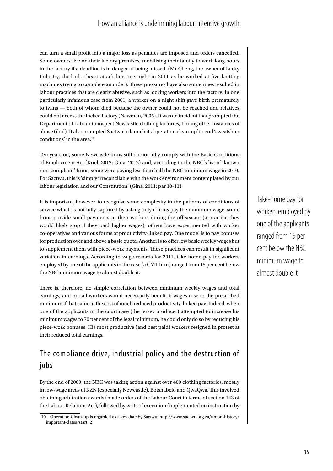can turn a small profit into a major loss as penalties are imposed and orders cancelled. Some owners live on their factory premises, mobilising their family to work long hours in the factory if a deadline is in danger of being missed. (Mr Cheng, the owner of Lucky Industry, died of a heart attack late one night in 2011 as he worked at five knitting machines trying to complete an order). These pressures have also sometimes resulted in labour practices that are clearly abusive, such as locking workers into the factory. In one particularly infamous case from 2001, a worker on a night shift gave birth prematurely to twins — both of whom died because the owner could not be reached and relatives could not access the locked factory (Newman, 2005). It was an incident that prompted the Department of Labour to inspect Newcastle clothing factories, finding other instances of abuse (ibid). It also prompted Sactwu to launch its 'operation clean-up' to end 'sweatshop conditions' in the area.<sup>10</sup>

Ten years on, some Newcastle firms still do not fully comply with the Basic Conditions of Employment Act (Kriel, 2012; Gina, 2012) and, according to the NBC's list of 'known non-compliant' firms, some were paying less than half the NBC minimum wage in 2010. For Sactwu, this is 'simply irreconcilable with the work environment contemplated by our labour legislation and our Constitution' (Gina, 2011: par 10-11).

It is important, however, to recognise some complexity in the patterns of conditions of service which is not fully captured by asking only if firms pay the minimum wage: some firms provide small payments to their workers during the off-season (a practice they would likely stop if they paid higher wages); others have experimented with worker co-operatives and various forms of productivity-linked pay. One model is to pay bonuses for production over and above a basic quota. Another is to offer low basic weekly wages but to supplement them with piece-work payments. These practices can result in significant variation in earnings. According to wage records for 2011, take-home pay for workers employed by one of the applicants in the case (a CMT firm) ranged from 15 per cent below the NBC minimum wage to almost double it.

There is, therefore, no simple correlation between minimum weekly wages and total earnings, and not all workers would necessarily benefit if wages rose to the prescribed minimum if that came at the cost of much reduced productivity-linked pay. Indeed, when one of the applicants in the court case (the jersey producer) attempted to increase his minimum wages to 70 per cent of the legal minimum, he could only do so by reducing his piece-work bonuses. His most productive (and best paid) workers resigned in protest at their reduced total earnings.

# The compliance drive, industrial policy and the destruction of jobs

By the end of 2009, the NBC was taking action against over 400 clothing factories, mostly in low-wage areas of KZN (especially Newcastle), Botshabelo and QwaQwa. This involved obtaining arbitration awards (made orders of the Labour Court in terms of section 143 of the Labour Relations Act), followed by writs of execution (implemented on instruction by Take-home pay for workers employed by one of the applicants ranged from 15 per cent below the NBC minimum wage to almost double it

<sup>10</sup> Operation Clean-up is regarded as a key date by Sactwu: http://www.sactwu.org.za/union-history/ important-dates?start=2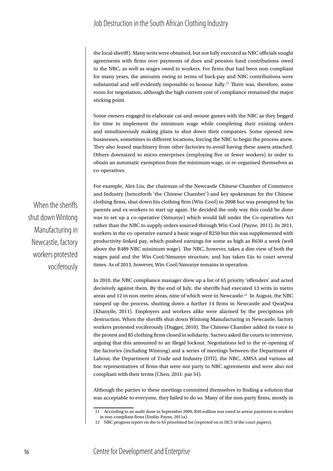the local sheriff). Many writs were obtained, but not fully executed as NBC officials sought agreements with firms over payments of dues and pension fund contributions owed to the NBC, as well as wages owed to workers. For firms that had been non-compliant for many years, the amounts owing in terms of back-pay and NBC contributions were substantial and self-evidently impossible to honour fully.<sup>11</sup> There was, therefore, some room for negotiation, although the high current cost of compliance remained the major sticking point.

Some owners engaged in elaborate cat-and-mouse games with the NBC as they begged for time to implement the minimum wage while completing their existing orders and simultaneously making plans to shut down their companies. Some opened new businesses, sometimes in different locations, forcing the NBC to begin the process anew. They also leased machinery from other factories to avoid having these assets attached. Others downsized to micro-enterprises (employing five or fewer workers) in order to obtain an automatic exemption from the minimum wage, or re-organised themselves as co-operatives.

For example, Alex Liu, the chairman of the Newcastle Chinese Chamber of Commerce and Industry (henceforth 'the Chinese Chamber') and key spokesman for the Chinese clothing firms, shut down his clothing firm (Win-Cool) in 2008 but was prompted by his parents and ex-workers to start up again. He decided the only way this could be done was to set up a co-operative (Simunye) which would fall under the Co-operatives Act rather than the NBC to supply orders sourced through Win-Cool (Payne, 2011). In 2011, workers in the co-operative earned a basic wage of R250 but this was supplemented with productivity-linked pay, which pushed earnings for some as high as R630 a week (well above the R489 NBC minimum wage). The NBC, however, takes a dim view of both the wages paid and the Win-Cool/Simunye structure, and has taken Liu to court several times. As of 2013, however, Win-Cool/Simunye remains in operation.

In 2010, the NBC compliance manager drew up a list of 65 priority 'offenders' and acted decisively against them. By the end of July, the sheriffs had executed 13 writs in metro areas and 12 in non-metro areas, nine of which were in Newcastle.12 In August, the NBC ramped up the process, shutting down a further 14 firms in Newcastle and QwaQwa (Khanyile, 2011). Employers and workers alike were alarmed by the precipitous job destruction. When the sheriffs shut down Wintong Manufacturing in Newcastle, factory workers protested vociferously (Dugger, 2010). The Chinese Chamber added its voice to the protest and 85 clothing firms closed in solidarity. Sactwu asked the courts to intervene, arguing that this amounted to an illegal lockout. Negotiations led to the re-opening of the factories (including Wintong) and a series of meetings between the Department of Labour, the Department of Trade and Industry (DTI), the NBC, AMSA and various ad hoc representatives of firms that were not party to NBC agreements and were also not compliant with their terms (Chen, 2011: par 54).

Although the parties to these meetings committed themselves to finding a solution that was acceptable to everyone, they failed to do so. Many of the non-party firms, mostly in

When the sheriffs shut down Wintong Manufacturing in Newcastle, factory workers protested vociferously

<sup>11</sup> According to an audit done in September 2009, R40 million was owed in arrear payments to workers in non-compliant firms (Enslin-Payne, 2011a).

<sup>12</sup> NBC progress report on the to 65 prioritised list (reported on in HC5 of the court papers).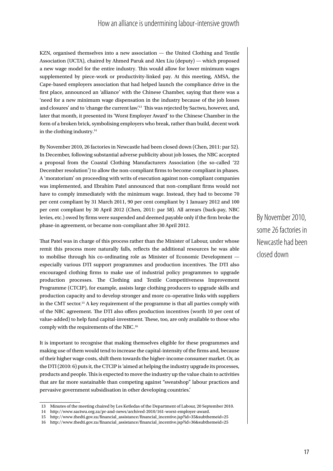#### How an alliance is undermining labour-intensive growth

KZN, organised themselves into a new association — the United Clothing and Textile Association (UCTA), chaired by Ahmed Paruk and Alex Liu (deputy) — which proposed a new wage model for the entire industry. This would allow for lower minimum wages supplemented by piece-work or productivity-linked pay. At this meeting, AMSA, the Cape-based employers association that had helped launch the compliance drive in the first place, announced an 'alliance' with the Chinese Chamber, saying that there was a 'need for a new minimum wage dispensation in the industry because of the job losses and closures' and to 'change the current law'.13 This was rejected by Sactwu, however, and, later that month, it presented its 'Worst Employer Award' to the Chinese Chamber in the form of a broken brick, symbolising employers who break, rather than build, decent work in the clothing industry.14

By November 2010, 26 factories in Newcastle had been closed down (Chen, 2011: par 52). In December, following substantial adverse publicity about job losses, the NBC accepted a proposal from the Coastal Clothing Manufacturers Association (the so-called '22 December resolution') to allow the non-compliant firms to become compliant in phases. A 'moratorium' on proceeding with writs of execution against non-compliant companies was implemented, and Ebrahim Patel announced that non-compliant firms would not have to comply immediately with the minimum wage. Instead, they had to become 70 per cent compliant by 31 March 2011, 90 per cent compliant by 1 January 2012 and 100 per cent compliant by 30 April 2012 (Chen, 2011: par 58). All arrears (back-pay, NBC levies, etc.) owed by firms were suspended and deemed payable only if the firm broke the phase-in agreement, or became non-compliant after 30 April 2012.

That Patel was in charge of this process rather than the Minister of Labour, under whose remit this process more naturally falls, reflects the additional resources he was able to mobilise through his co-ordinating role as Minister of Economic Development especially various DTI support programmes and production incentives. The DTI also encouraged clothing firms to make use of industrial policy programmes to upgrade production processes. The Clothing and Textile Competitiveness Improvement Programme (CTCIP), for example, assists large clothing producers to upgrade skills and production capacity and to develop stronger and more co-operative links with suppliers in the CMT sector.15 A key requirement of the programme is that all parties comply with of the NBC agreement. The DTI also offers production incentives (worth 10 per cent of value-added) to help fund capital-investment. These, too, are only available to those who comply with the requirements of the NBC.16

It is important to recognise that making themselves eligible for these programmes and making use of them would tend to increase the capital-intensity of the firms and, because of their higher wage costs, shift them towards the higher-income consumer market. Or, as the DTI (2010: 6) puts it, the CTCIP is 'aimed at helping the industry upgrade its processes, products and people. This is expected to move the industry up the value chain to activities that are far more sustainable than competing against "sweatshop" labour practices and pervasive government subsidisation in other developing countries.'

By November 2010, some 26 factories in Newcastle had been closed down

<sup>13</sup> Minutes of the meeting chaired by Les Ketledas of the Department of Labour, 20 September 2010.

<sup>14</sup> http://www.sactwu.org.za/pr-and-news/archived-2010/161-worst-employer-award.

<sup>15</sup> http://www.thedti.gov.za/financial\_assistance/financial\_incentive.jsp?id=35&subthemeid=25

<sup>16</sup> http://www.thedti.gov.za/financial\_assistance/financial\_incentive.jsp?id=36&subthemeid=25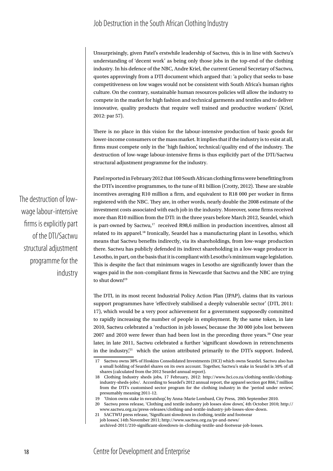Unsurprisingly, given Patel's erstwhile leadership of Sactwu, this is in line with Sactwu's understanding of 'decent work' as being only those jobs in the top-end of the clothing industry. In his defence of the NBC, Andre Kriel, the current General Secretary of Sactwu, quotes approvingly from a DTI document which argued that: 'a policy that seeks to base competitiveness on low wages would not be consistent with South Africa's human rights culture. On the contrary, sustainable human resources policies will allow the industry to compete in the market for high fashion and technical garments and textiles and to deliver innovative, quality products that require well trained and productive workers' (Kriel, 2012: par 57).

There is no place in this vision for the labour-intensive production of basic goods for lower-income consumers or the mass market. It implies that if the industry is to exist at all, firms must compete only in the 'high fashion', technical/quality end of the industry. The destruction of low-wage labour-intensive firms is thus explicitly part of the DTI/Sactwu structural adjustment programme for the industry.

Patel reported in February 2012 that 100 South African clothing firms were benefitting from the DTI's incentive programmes, to the tune of R1 billion (Crotty, 2012). These are sizable incentives averaging R10 million a firm, and equivalent to R18 000 per worker in firms registered with the NBC. They are, in other words, nearly double the 2008 estimate of the investment costs associated with each job in the industry. Moreover, some firms received more than R10 million from the DTI: in the three years before March 2012, Seardel, which is part-owned by Sactwu,<sup>17</sup> received R98,6 million in production incentives, almost all related to its apparel.18 Ironically, Seardel has a manufacturing plant in Lesotho, which means that Sactwu benefits indirectly, via its shareholdings, from low-wage production there. Sactwu has publicly defended its indirect shareholding in a low-wage producer in Lesotho, in part, on the basis that it is compliant with Lesotho's minimum wage legislation. This is despite the fact that minimum wages in Lesotho are significantly lower than the wages paid in the non-compliant firms in Newcastle that Sactwu and the NBC are trying to shut down!<sup>19</sup>

The DTI, in its most recent Industrial Policy Action Plan (IPAP), claims that its various support programmes have 'effectively stabilised a deeply vulnerable sector' (DTI, 2011: 17), which would be a very poor achievement for a government supposedly committed to rapidly increasing the number of people in employment. By the same token, in late 2010, Sactwu celebrated a 'reduction in job losses', because the 30 000 jobs lost between 2007 and 2010 were fewer than had been lost in the preceding three years.<sup>20</sup> One year later, in late 2011, Sactwu celebrated a further 'significant slowdown in retrenchments in the industry $\chi^{21}$  which the union attributed primarily to the DTI's support. Indeed,

The destruction of lowwage labour-intensive firms is explicitly part of the DTI/Sactwu structural adjustment programme for the industry

<sup>17</sup> Sactwu owns 38% of Hoskins Consolidated Investments (HCI) which owns Seardel. Sactwu also has a small holding of Seardel shares on its own account. Together, Sactwu's stake in Seardel is 30% of all shares (calculated from the 2012 Seardel annual report).

<sup>18</sup> Clothing Industry sheds jobs, 17 February, 2012: http://www.hci.co.za/clothing-textile/clothingindustry-sheds-jobs/. According to Seardel's 2012 annual report, the apparel section got R66,7 million from the DTI's customised sector program for the clothing industry in the 'period under review', presumably meaning 2011-12.

<sup>19</sup> 'Union owns stake in sweatshop', by Anna-Marie Lombard, City Press, 20th September 2010.

<sup>20</sup> Sactwu press release, 'Clothing and textile industry job losses slow down', 4th October 2010; http:// www.sactwu.org.za/press-releases/clothing-and-textile-industry-job-losses-slow-down.

<sup>21</sup> SACTWU press release, 'Significant slowdown in clothing, textile and footwear job losses', 14th November 2011; http://www.sactwu.org.za/pr-and-news/ archived-2011/210-significant-slowdown-in-clothing-textile-and-footwear-job-losses.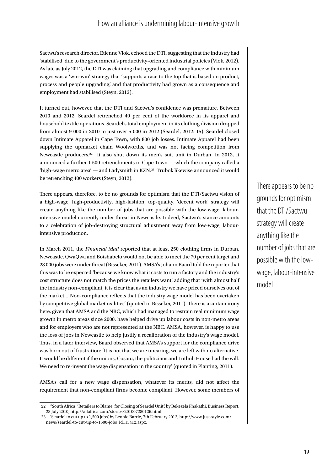#### How an alliance is undermining labour-intensive growth

Sactwu's research director, Etienne Vlok, echoed the DTI, suggesting that the industry had 'stabilised' due to the government's productivity-oriented industrial policies (Vlok, 2012). As late as July 2012, the DTI was claiming that upgrading and compliance with minimum wages was a 'win-win' strategy that 'supports a race to the top that is based on product, process and people upgrading', and that productivity had grown as a consequence and employment had stabilised (Steyn, 2012).

It turned out, however, that the DTI and Sactwu's confidence was premature. Between 2010 and 2012, Seardel retrenched 40 per cent of the workforce in its apparel and household textile operations. Seardel's total employment in its clothing division dropped from almost 9 000 in 2010 to just over 5 000 in 2012 (Seardel, 2012: 15). Seardel closed down Intimate Apparel in Cape Town, with 800 job losses. Intimate Apparel had been supplying the upmarket chain Woolworths, and was not facing competition from Newcastle producers.22 It also shut down its men's suit unit in Durban. In 2012, it announced a further 1 500 retrenchments in Cape Town — which the company called a 'high-wage metro area' — and Ladysmith in KZN.23 Trubok likewise announced it would be retrenching 400 workers (Steyn, 2012).

There appears, therefore, to be no grounds for optimism that the DTI/Sactwu vision of a high-wage, high-productivity, high-fashion, top-quality, 'decent work' strategy will create anything like the number of jobs that are possible with the low-wage, labourintensive model currently under threat in Newcastle. Indeed, Sactwu's stance amounts to a celebration of job-destroying structural adjustment away from low-wage, labourintensive production.

In March 2011, the *Financial Mail* reported that at least 250 clothing firms in Durban, Newcastle, QwaQwa and Botshabelo would not be able to meet the 70 per cent target and 28 000 jobs were under threat (Bisseker, 2011). AMSA's Johann Baard told the reporter that this was to be expected 'because we know what it costs to run a factory and the industry's cost structure does not match the prices the retailers want', adding that 'with almost half the industry non-compliant, it is clear that as an industry we have priced ourselves out of the market….Non-compliance reflects that the industry wage model has been overtaken by competitive global market realities' (quoted in Bisseker, 2011). There is a certain irony here, given that AMSA and the NBC, which had managed to restrain real minimum wage growth in metro areas since 2000, have helped drive up labour costs in non-metro areas and for employers who are not represented at the NBC. AMSA, however, is happy to use the loss of jobs in Newcastle to help justify a recalibration of the industry's wage model. Thus, in a later interview, Baard observed that AMSA's support for the compliance drive was born out of frustration: 'It is not that we are uncaring, we are left with no alternative. It would be different if the unions, Cosatu, the politicians and Luthuli House had the will. We need to re-invent the wage dispensation in the country' (quoted in Planting, 2011).

AMSA's call for a new wage dispensation, whatever its merits, did not affect the requirement that non-compliant firms become compliant. However, some members of There appears to be no grounds for optimism that the DTI/Sactwu strategy will create anything like the number of jobs that are possible with the lowwage, labour-intensive model

<sup>22</sup> "South Africa: 'Retailers to Blame' for Closing of Seardel Unit", by Bekezela Phakathi, Business Report, 28 July 2010; http://allafrica.com/stories/201007280126.html.

<sup>23</sup> 'Seardel to cut up to 1,500 jobs', by Leonie Barrie, 7th February 2012, http://www.just-style.com/ news/seardel-to-cut-up-to-1500-jobs\_id113412.aspx.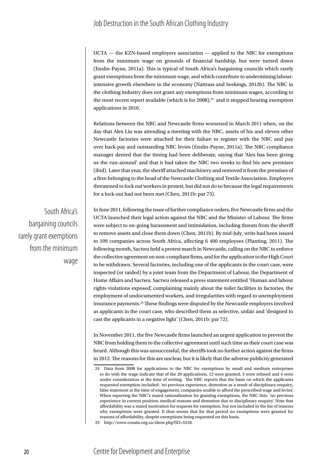#### Job Destruction in the South African Clothing Industry

UCTA — the KZN-based employers association — applied to the NBC for exemptions from the minimum wage on grounds of financial hardship, but were turned down (Enslin-Payne, 2011a). This is typical of South Africa's bargaining councils which rarely grant exemptions from the minimum wage, and which contribute to undermining labourintensive growth elsewhere in the economy (Nattrass and Seekings, 2012b). The NBC in the clothing industry does not grant any exemptions from minimum wages, according to the most recent report available (which is for  $2008$ ),<sup>24</sup> and it stopped hearing exemption applications in 2010.

Relations between the NBC and Newcastle firms worsened in March 2011 when, on the day that Alex Liu was attending a meeting with the NBC, assets of his and eleven other Newcastle factories were attached for their failure to register with the NBC and pay over back-pay and outstanding NBC levies (Enslin-Payne, 2011a). The NBC compliance manager denied that the timing had been deliberate, saying that 'Alex has been giving us the run-around' and that it had taken the NBC two weeks to find his new premises (ibid). Later that year, the sheriff attached machinery and removed it from the premises of a firm belonging to the head of the Newcastle Clothing and Textile Association. Employers threatened to lock out workers in protest, but did not do so because the legal requirements for a lock-out had not been met (Chen, 2011b: par 73).

South Africa's bargaining councils rarely grant exemptions from the minimum wage

In June 2011, following the issue of further compliance orders, five Newcastle firms and the UCTA launched their legal action against the NBC and the Minister of Labour. The firms were subject to on-going harassment and intimidation, including threats from the sheriff to remove assets and close them down (Chen, 2011b). By mid-July, writs had been issued to 109 companies across South Africa, affecting 6 400 employees (Planting, 2011). The following month, Sactwu held a protest march in Newcastle, calling on the NBC to enforce the collective agreement on non-compliant firms, and for the application to the High Court to be withdrawn. Several factories, including one of the applicants in the court case, were inspected (or raided) by a joint team from the Department of Labour, the Department of Home Affairs and Sactwu. Sactwu released a press statement entitled 'Human and labour rights violations exposed', complaining mainly about the toilet facilities in factories, the employment of undocumented workers, and irregularities with regard to unemployment insurance payments.25 These findings were disputed by the Newcastle employers involved as applicants in the court case, who described them as selective, unfair and 'designed to cast the applicants in a negative light' (Chen, 2011b: par 72).

In November 2011, the five Newcastle firms launched an urgent application to prevent the NBC from holding them to the collective agreement until such time as their court case was heard. Although this was unsuccessful, the sheriffs took no further action against the firms in 2012. The reasons for this are unclear, but it is likely that the adverse publicity generated

# 20 Centre for Development and Enterprise

<sup>24</sup> Data from 2008 for applications to the NBC for exemptions by small and medium enterprises to do with the wage indicate that of the 29 applications, 12 were granted, 3 were refused and 4 were under consideration at the time of writing. The NBC reports that the basis on which the applicants requested exemption included: 'no previous experience, demotion as a result of disciplinary enquiry, false statement at the time of engagement, companies unable to afford the prescribed wage and levies'. When reporting the NBC's stated rationalisation for granting exemptions, the NBC lists: 'no previous experience in current position, medical reasons and demotion due to disciplinary enquiry'. Note that affordability was a stated motivation for requests for exemption, but not included in the list of reasons why exemptions were granted. It thus seems that for that period no exemptions were granted for reasons of affordability, despite exemptions being requested on this basis.

<sup>25</sup> http://www.cosatu.org.za/show.php?ID=5518.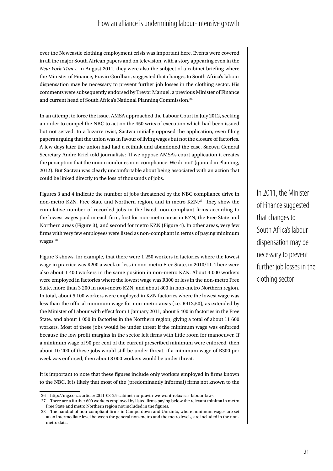#### How an alliance is undermining labour-intensive growth

over the Newcastle clothing employment crisis was important here. Events were covered in all the major South African papers and on television, with a story appearing even in the *New York Times*. In August 2011, they were also the subject of a cabinet briefing where the Minister of Finance, Pravin Gordhan, suggested that changes to South Africa's labour dispensation may be necessary to prevent further job losses in the clothing sector. His comments were subsequently endorsed by Trevor Manuel, a previous Minister of Finance and current head of South Africa's National Planning Commission.<sup>26</sup>

In an attempt to force the issue, AMSA approached the Labour Court in July 2012, seeking an order to compel the NBC to act on the 450 writs of execution which had been issued but not served. In a bizarre twist, Sactwu initially opposed the application, even filing papers arguing that the union was in favour of living wages but not the closure of factories. A few days later the union had had a rethink and abandoned the case. Sactwu General Secretary Andre Kriel told journalists: 'If we oppose AMSA's court application it creates the perception that the union condones non-compliance. We do not' (quoted in Planting, 2012). But Sactwu was clearly uncomfortable about being associated with an action that could be linked directly to the loss of thousands of jobs.

Figures 3 and 4 indicate the number of jobs threatened by the NBC compliance drive in non-metro KZN, Free State and Northern region, and in metro KZN.27 They show the cumulative number of recorded jobs in the listed, non-compliant firms according to the lowest wages paid in each firm, first for non-metro areas in KZN, the Free State and Northern areas (Figure 3), and second for metro KZN (Figure 4). In other areas, very few firms with very few employees were listed as non-compliant in terms of paying minimum wages.<sup>28</sup>

Figure 3 shows, for example, that there were 1 250 workers in factories where the lowest wage in practice was R200 a week or less in non-metro Free State, in 2010/11. There were also about 1 400 workers in the same position in non-metro KZN. About 4 000 workers were employed in factories where the lowest wage was R300 or less in the non-metro Free State, more than 3 200 in non-metro KZN, and about 800 in non-metro Northern region. In total, about 5 100 workers were employed in KZN factories where the lowest wage was less than the official minimum wage for non-metro areas (i.e. R412,50), as extended by the Minister of Labour with effect from 1 January 2011, about 5 400 in factories in the Free State, and about 1 050 in factories in the Northern region, giving a total of about 11 600 workers. Most of these jobs would be under threat if the minimum wage was enforced because the low profit margins in the sector left firms with little room for manoeuver. If a minimum wage of 90 per cent of the current prescribed minimum were enforced, then about 10 200 of these jobs would still be under threat. If a minimum wage of R300 per week was enforced, then about 8 000 workers would be under threat.

It is important to note that these figures include only workers employed in firms known to the NBC. It is likely that most of the (predominantly informal) firms not known to the In 2011, the Minister of Finance suggested that changes to South Africa's labour dispensation may be necessary to prevent further job losses in the clothing sector

<sup>26</sup> http://mg.co.za/article/2011-08-25-cabinet-no-pravin-we-wont-relax-sas-labour-laws

<sup>27</sup> There are a further 600 workers employed by listed firms paying below the relevant minima in metro Free State and metro Northern region not included in the figures.

<sup>28</sup> The handful of non-compliant firms in Camperdown and Umzinto, where minimum wages are set at an intermediate level between the general non-metro and the metro levels, are included in the nonmetro data.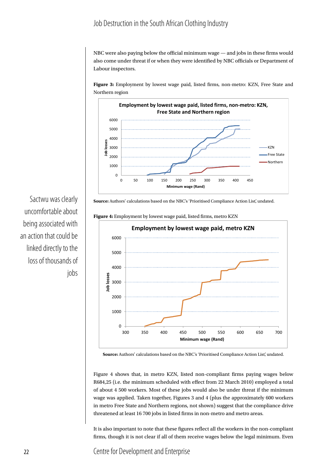#### Job Destruction in the South African Clothing Industry

NBC were also paying below the official minimum wage — and jobs in these firms would also come under threat if or when they were identified by NBC officials or Department of Labour inspectors.

**Figure 3:** Employment by lowest wage paid, listed firms, non-metro: KZN, Free State and Northern region



**Source:** Authors' calculations based on the NBC's 'Prioritised Compliance Action List', undated.

**Figure 4:** Employment by lowest wage paid, listed firms, metro KZN



**Source:** Authors' calculations based on the NBC's 'Prioritised Compliance Action List', undated.

Figure 4 shows that, in metro KZN, listed non-compliant firms paying wages below R684,25 (i.e. the minimum scheduled with effect from 22 March 2010) employed a total of about 4 500 workers. Most of these jobs would also be under threat if the minimum wage was applied. Taken together, Figures 3 and 4 (plus the approximately 600 workers in metro Free State and Northern regions, not shown) suggest that the compliance drive threatened at least 16 700 jobs in listed firms in non-metro and metro areas.

It is also important to note that these figures reflect all the workers in the non-compliant firms, though it is not clear if all of them receive wages below the legal minimum. Even

Sactwu was clearly uncomfortable about being associated with an action that could be linked directly to the loss of thousands of jobs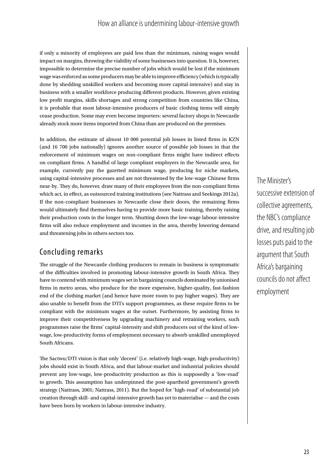#### How an alliance is undermining labour-intensive growth

if only a minority of employees are paid less than the minimum, raising wages would impact on margins, throwing the viability of some businesses into question. It is, however, impossible to determine the precise number of jobs which would be lost if the minimum wage was enforced as some producers may be able to improve efficiency (which is typically done by shedding unskilled workers and becoming more capital-intensive) and stay in business with a smaller workforce producing different products. However, given existing low profit margins, skills shortages and strong competition from countries like China, it is probable that most labour-intensive producers of basic clothing items will simply cease production. Some may even become importers: several factory shops in Newcastle already stock more items imported from China than are produced on the premises.

In addition, the estimate of almost 10 000 potential job losses in listed firms in KZN (and 16 700 jobs nationally) ignores another source of possible job losses in that the enforcement of minimum wages on non-compliant firms might have indirect effects on compliant firms. A handful of large compliant employers in the Newcastle area, for example, currently pay the gazetted minimum wage, producing for niche markets, using capital-intensive processes and are not threatened by the low-wage Chinese firms near-by. They do, however, draw many of their employees from the non-compliant firms which act, in effect, as outsourced training institutions (see Nattrass and Seekings 2012a). If the non-compliant businesses in Newcastle close their doors, the remaining firms would ultimately find themselves having to provide more basic training, thereby raising their production costs in the longer term. Shutting down the low-wage labour-intensive firms will also reduce employment and incomes in the area, thereby lowering demand and threatening jobs in others sectors too.

### Concluding remarks

The struggle of the Newcastle clothing producers to remain in business is symptomatic of the difficulties involved in promoting labour-intensive growth in South Africa. They have to contend with minimum wages set in bargaining councils dominated by unionised firms in metro areas, who produce for the more expensive, higher-quality, fast-fashion end of the clothing market (and hence have more room to pay higher wages). They are also unable to benefit from the DTI's support programmes, as these require firms to be compliant with the minimum wages at the outset. Furthermore, by assisting firms to improve their competitiveness by upgrading machinery and retraining workers, such programmes raise the firms' capital-intensity and shift producers out of the kind of lowwage, low-productivity forms of employment necessary to absorb unskilled unemployed South Africans.

The Sactwu/DTI vision is that only 'decent' (i.e. relatively high-wage, high-productivity) jobs should exist in South Africa, and that labour-market and industrial policies should prevent any low-wage, low-productivity production as this is supposedly a 'low-road' to growth. This assumption has underpinned the post-apartheid government's growth strategy (Nattrass, 2001; Nattrass, 2011). But the hoped for 'high-road' of substantial job creation through skill- and capital-intensive growth has yet to materialise — and the costs have been born by workers in labour-intensive industry.

The Minister's successive extension of collective agreements, the NBC's compliance drive, and resulting job losses puts paid to the argument that South Africa's bargaining councils do not affect employment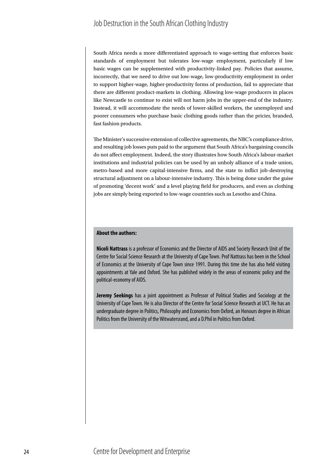South Africa needs a more differentiated approach to wage-setting that enforces basic standards of employment but tolerates low-wage employment, particularly if low basic wages can be supplemented with productivity-linked pay. Policies that assume, incorrectly, that we need to drive out low-wage, low-productivity employment in order to support higher-wage, higher-productivity forms of production, fail to appreciate that there are different product-markets in clothing. Allowing low-wage producers in places like Newcastle to continue to exist will not harm jobs in the upper-end of the industry. Instead, it will accommodate the needs of lower-skilled workers, the unemployed and poorer consumers who purchase basic clothing goods rather than the pricier, branded, fast fashion products.

The Minister's successive extension of collective agreements, the NBC's compliance drive, and resulting job losses puts paid to the argument that South Africa's bargaining councils do not affect employment. Indeed, the story illustrates how South Africa's labour-market institutions and industrial policies can be used by an unholy alliance of a trade union, metro-based and more capital-intensive firms, and the state to inflict job-destroying structural adjustment on a labour-intensive industry. This is being done under the guise of promoting 'decent work' and a level playing field for producers, and even as clothing jobs are simply being exported to low-wage countries such as Lesotho and China.

#### **About the authors:**

**Nicoli Nattrass** is a professor of Economics and the Director of AIDS and Society Research Unit of the Centre for Social Science Research at the University of Cape Town. Prof Nattrass has been in the School of Economics at the University of Cape Town since 1991. During this time she has also held visiting appointments at Yale and Oxford. She has published widely in the areas of economic policy and the political-economy of AIDS.

**Jeremy Seekings** has a joint appointment as Professor of Political Studies and Sociology at the University of Cape Town. He is also Director of the Centre for Social Science Research at UCT. He has an undergraduate degree in Politics, Philosophy and Economics from Oxford, an Honours degree in African Politics from the University of the Witwatersrand, and a D.Phil in Politics from Oxford.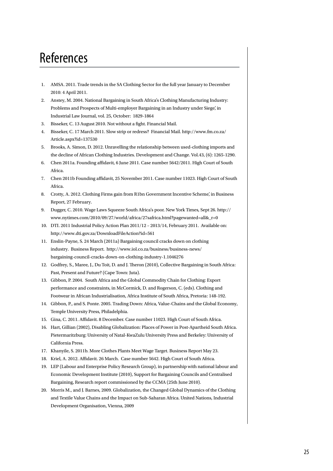# References

- 1. AMSA. 2011. Trade trends in the SA Clothing Sector for the full year January to December 2010: 4 April 2011.
- 2. Anstey, M. 2004. National Bargaining in South Africa's Clothing Manufacturing Industry: Problems and Prospects of Multi-employer Bargaining in an Industry under Siege', in Industrial Law Journal, vol. 25, October: 1829-1864
- 3. Bisseker, C. 13 August 2010. Not without a fight. Financial Mail.
- 4. Bisseker, C. 17 March 2011. Slow strip or redress? Financial Mail. http://www.fm.co.za/ Article.aspx?id=137530
- 5. Brooks, A. Simon, D. 2012. Unravelling the relationship between used-clothing imports and the decline of African Clothing Industries. Development and Change. Vol.43, (6): 1265-1290.
- 6. Chen 2011a. Founding affidavit, 6 June 2011. Case number 5642/2011. High Court of South Africa.
- 7. Chen 2011b Founding affidavit, 25 November 2011. Case number 11023. High Court of South Africa.
- 8. Crotty, A. 2012. Clothing Firms gain from R1bn Government Incentive Scheme', in Business Report, 27 February.
- 9. Dugger, C. 2010. Wage Laws Squeeze South Africa's poor. New York Times, Sept 26. http:// www.nytimes.com/2010/09/27/world/africa/27safrica.html?pagewanted=all&\_r=0
- 10. DTI. 2011 Industrial Policy Action Plan 2011/12 2013/14, February 2011. Available on: http://www.dti.gov.za/DownloadFileAction?id=561
- 11. Enslin-Payne, S. 24 March (2011a) Bargaining council cracks down on clothing industry. Business Report. http://www.iol.co.za/business/business-news/ bargaining-council-cracks-down-on-clothing-industry-1.1046276
- 12. Godfrey, S., Maree, J., Du Toit, D. and J. Theron (2010), Collective Bargaining in South Africa: Past, Present and Future? (Cape Town: Juta).
- 13. Gibbon, P. 2004. South Africa and the Global Commodity Chain for Clothing: Export performance and constraints, in McCormick, D. and Rogerson, C. (eds). Clothing and Footwear in African Industrialisation, Africa Institute of South Africa, Pretoria: 148-192.
- 14. Gibbon, P., and S. Ponte. 2005. Trading Down: Africa, Value-Chains and the Global Economy, Temple University Press, Philadelphia.
- 15. Gina, C. 2011. Affidavit. 8 December. Case number 11023. High Court of South Africa.
- 16. Hart, Gillian (2002), Disabling Globalization: Places of Power in Post-Apartheid South Africa. Pietermaritzburg: University of Natal-KwaZulu University Press and Berkeley: University of California Press.
- 17. Khanyile, S. 2011b. More Clothes Plants Meet Wage Target. Business Report May 23.
- 18. Kriel, A. 2012. Affidavit. 26 March. Case number 5642. High Court of South Africa.
- 19. LEP (Labour and Enterprise Policy Research Group), in partnership with national labour and Economic Development Institute (2010), Support for Bargaining Councils and Centralised Bargaining, Research report commissioned by the CCMA (25th June 2010).
- 20. Morris M., and J. Barnes, 2009. Globalization, the Changed Global Dynamics of the Clothing and Textile Value Chains and the Impact on Sub-Saharan Africa. United Nations, Industrial Development Organisation, Vienna, 2009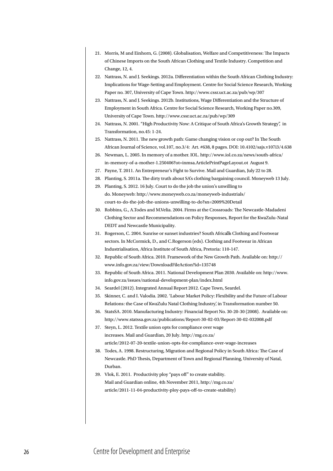- 21. Morris, M and Einhorn, G. (2008). Globalisation, Welfare and Competitiveness: The Impacts of Chinese Imports on the South African Clothing and Textile Industry. Competition and Change, 12, 4.
- 22. Nattrass, N. and J. Seekings. 2012a. Differentiation within the South African Clothing Industry: Implications for Wage-Setting and Employment. Centre for Social Science Research, Working Paper no. 307, University of Cape Town. http://www.cssr.uct.ac.za/pub/wp/307
- 23. Nattrass, N. and J. Seekings. 2012b. Institutions, Wage Differentiation and the Structure of Employment in South Africa. Centre for Social Science Research, Working Paper no.309, University of Cape Town. http://www.cssr.uct.ac.za/pub/wp/309
- 24. Nattrass, N. 2001. "High Productivity Now: A Critique of South Africa's Growth Strategy", in Transformation, no.45: 1-24.
- 25. Nattrass, N. 2011. The new growth path: Game changing vision or cop out? In The South African Journal of Science, vol.107, no.3/4: Art. #638, 8 pages. DOI: 10.4102/sajs.v107i3/4.638
- 26. Newman, L. 2005. In memory of a mother. IOL. http://www.iol.co.za/news/south-africa/ in-memory-of-a-mother-1.250406?ot=inmsa.ArticlePrintPageLayout.ot August 9.
- 27. Payne, T. 2011. An Entrepreneur's Fight to Survive. Mail and Guardian, July 22 to 28.
- 28. Planting, S. 2011a. The dirty truth about SA's clothing bargaining council. Moneyweb 13 July.
- 29. Planting, S. 2012. 16 July. Court to do the job the union's unwilling to do. Moneyweb: http://www.moneyweb.co.za/moneyweb-industrials/ court-to-do-the-job-the-unions-unwilling-to-do?sn=2009%20Detail
- 30. Robbins, G., A.Todes and M.Velia. 2004. Firms at the Crossroads: The Newcastle-Madadeni Clothing Sector and Recommendations on Policy Responses, Report for the KwaZulu-Natal DEDT and Newcastle Municipality.
- 31. Rogerson, C. 2004. Sunrise or sunset industries? South Africa"s Clothing and Footwear sectors. In McCormick, D., and C.Rogerson (eds). Clothing and Footwear in African Industrialisation, Africa Institute of South Africa, Pretoria: 110-147.
- 32. Republic of South Africa. 2010. Framework of the New Growth Path. Available on: http:// www.info.gov.za/view/DownloadFileAction?id=135748
- 33. Republic of South Africa. 2011. National Development Plan 2030. Available on: http://www. info.gov.za/issues/national-development-plan/index.html
- 34. Seardel (2012). Integrated Annual Report 2012. Cape Town, Seardel.
- 35. Skinner, C. and I. Valodia. 2002. 'Labour Market Policy: Flexibility and the Future of Labour Relations: the Case of KwaZulu Natal Clothing Industry', in Transformation number 50.
- 36. StatsSA. 2010. Manufacturing Industry: Financial Report No. 30-20-30 (2008). Available on: http://www.statssa.gov.za/publications/Report-30-02-03/Report-30-02-032008.pdf
- 37. Steyn, L. 2012. Textile union opts for compliance over wage increases. Mail and Guardian, 20 July. http://mg.co.za/ article/2012-07-20-textile-union-opts-for-compliance-over-wage-increases
- 38. Todes, A. 1998. Restructuring, Migration and Regional Policy in South Africa: The Case of Newcastle. PhD Thesis, Department of Town and Regional Planning, University of Natal, Durban.
- 39. Vlok, E. 2011. Productivity ploy "pays off" to create stability. Mail and Guardian online, 4th November 2011, http://mg.co.za/ article/2011-11-04-productivity-ploy-pays-off-to-create-stability)

#### 26 Centre for Development and Enterprise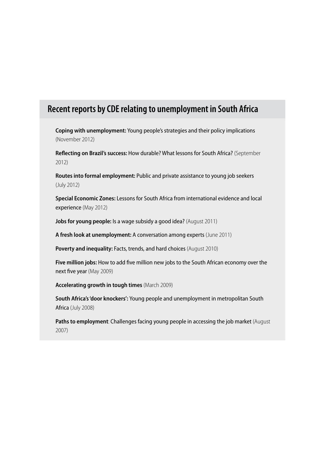# **Recent reports by CDE relating to unemployment in South Africa**

**Coping with unemployment:** Young people's strategies and their policy implications (November 2012)

**Reflecting on Brazil's success:** How durable? What lessons for South Africa? (September 2012)

**Routes into formal employment:** Public and private assistance to young job seekers (July 2012)

**Special Economic Zones:** Lessons for South Africa from international evidence and local experience (May 2012)

**Jobs for young people:** Is a wage subsidy a good idea? (August 2011)

**A fresh look at unemployment:** A conversation among experts (June 2011)

**Poverty and inequality: Facts, trends, and hard choices (August 2010)** 

**Five million jobs:** How to add five million new jobs to the South African economy over the next five year (May 2009)

**Accelerating growth in tough times** (March 2009)

**South Africa's 'door knockers':** Young people and unemployment in metropolitan South Africa (July 2008)

**Paths to employment**: Challenges facing young people in accessing the job market (August 2007)